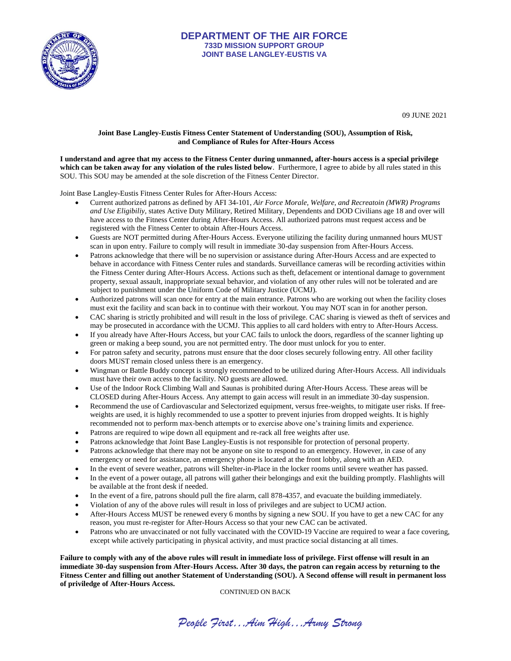

## **DEPARTMENT OF THE AIR FORCE 733D MISSION SUPPORT GROUP JOINT BASE LANGLEY-EUSTIS VA**

09 JUNE 2021

## **Joint Base Langley-Eustis Fitness Center Statement of Understanding (SOU), Assumption of Risk, and Compliance of Rules for After-Hours Access**

**I understand and agree that my access to the Fitness Center during unmanned, after-hours access is a special privilege which can be taken away for any violation of the rules listed below**.Furthermore, I agree to abide by all rules stated in this SOU. This SOU may be amended at the sole discretion of the Fitness Center Director.

Joint Base Langley-Eustis Fitness Center Rules for After-Hours Access:

- Current authorized patrons as defined by AFI 34-101, *Air Force Morale, Welfare, and Recreatoin (MWR) Programs and Use Eligibiliy*, states Active Duty Military, Retired Military, Dependents and DOD Civilians age 18 and over will have access to the Fitness Center during After-Hours Access. All authorized patrons must request access and be registered with the Fitness Center to obtain After-Hours Access.
- Guests are NOT permitted during After-Hours Access. Everyone utilizing the facility during unmanned hours MUST scan in upon entry. Failure to comply will result in immediate 30-day suspension from After-Hours Access.
- Patrons acknowledge that there will be no supervision or assistance during After-Hours Access and are expected to behave in accordance with Fitness Center rules and standards. Surveillance cameras will be recording activities within the Fitness Center during After-Hours Access. Actions such as theft, defacement or intentional damage to government property, sexual assault, inappropriate sexual behavior, and violation of any other rules will not be tolerated and are subject to punishment under the Uniform Code of Military Justice (UCMJ).
- Authorized patrons will scan once for entry at the main entrance. Patrons who are working out when the facility closes must exit the facility and scan back in to continue with their workout. You may NOT scan in for another person.
- CAC sharing is strictly prohibited and will result in the loss of privilege. CAC sharing is viewed as theft of services and may be prosecuted in accordance with the UCMJ. This applies to all card holders with entry to After-Hours Access.
- If you already have After-Hours Access, but your CAC fails to unlock the doors, regardless of the scanner lighting up green or making a beep sound, you are not permitted entry. The door must unlock for you to enter.
- For patron safety and security, patrons must ensure that the door closes securely following entry. All other facility doors MUST remain closed unless there is an emergency.
- Wingman or Battle Buddy concept is strongly recommended to be utilized during After-Hours Access. All individuals must have their own access to the facility. NO guests are allowed.
- Use of the Indoor Rock Climbing Wall and Saunas is prohibited during After-Hours Access. These areas will be CLOSED during After-Hours Access. Any attempt to gain access will result in an immediate 30-day suspension.
- Recommend the use of Cardiovascular and Selectorized equipment, versus free-weights, to mitigate user risks. If freeweights are used, it is highly recommended to use a spotter to prevent injuries from dropped weights. It is highly recommended not to perform max-bench attempts or to exercise above one's training limits and experience.
- Patrons are required to wipe down all equipment and re-rack all free weights after use.
- Patrons acknowledge that Joint Base Langley-Eustis is not responsible for protection of personal property.
- Patrons acknowledge that there may not be anyone on site to respond to an emergency. However, in case of any emergency or need for assistance, an emergency phone is located at the front lobby, along with an AED.
- In the event of severe weather, patrons will Shelter-in-Place in the locker rooms until severe weather has passed.
- In the event of a power outage, all patrons will gather their belongings and exit the building promptly. Flashlights will be available at the front desk if needed.
- In the event of a fire, patrons should pull the fire alarm, call 878-4357, and evacuate the building immediately.
- Violation of any of the above rules will result in loss of privileges and are subject to UCMJ action.
- After-Hours Access MUST be renewed every 6 months by signing a new SOU. If you have to get a new CAC for any reason, you must re-register for After-Hours Access so that your new CAC can be activated.
- Patrons who are unvaccinated or not fully vaccinated with the COVID-19 Vaccine are required to wear a face covering, except while actively participating in physical activity, and must practice social distancing at all times.

**Failure to comply with any of the above rules will result in immediate loss of privilege. First offense will result in an immediate 30-day suspension from After-Hours Access. After 30 days, the patron can regain access by returning to the Fitness Center and filling out another Statement of Understanding (SOU). A Second offense will result in permanent loss of priviledge of After-Hours Access.**

CONTINUED ON BACK

*People First…Aim High…Army Strong*